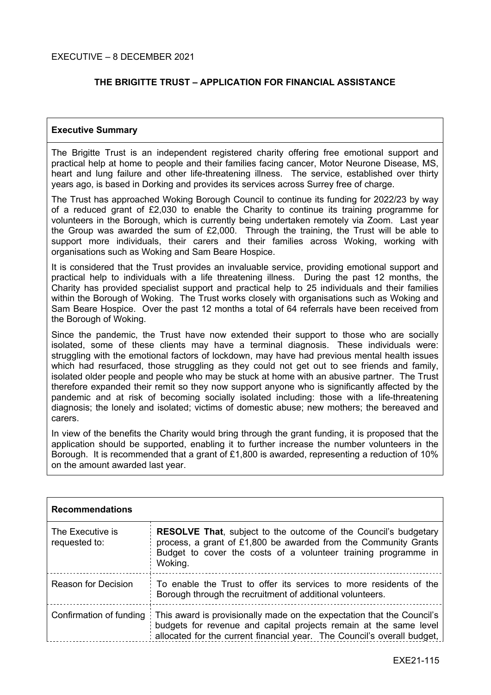# **THE BRIGITTE TRUST – APPLICATION FOR FINANCIAL ASSISTANCE**

### **Executive Summary**

The Brigitte Trust is an independent registered charity offering free emotional support and practical help at home to people and their families facing cancer, Motor Neurone Disease, MS, heart and lung failure and other life-threatening illness. The service, established over thirty years ago, is based in Dorking and provides its services across Surrey free of charge.

The Trust has approached Woking Borough Council to continue its funding for 2022/23 by way of a reduced grant of £2,030 to enable the Charity to continue its training programme for volunteers in the Borough, which is currently being undertaken remotely via Zoom. Last year the Group was awarded the sum of £2,000. Through the training, the Trust will be able to support more individuals, their carers and their families across Woking, working with organisations such as Woking and Sam Beare Hospice.

It is considered that the Trust provides an invaluable service, providing emotional support and practical help to individuals with a life threatening illness. During the past 12 months, the Charity has provided specialist support and practical help to 25 individuals and their families within the Borough of Woking. The Trust works closely with organisations such as Woking and Sam Beare Hospice. Over the past 12 months a total of 64 referrals have been received from the Borough of Woking.

Since the pandemic, the Trust have now extended their support to those who are socially isolated, some of these clients may have a terminal diagnosis. These individuals were: struggling with the emotional factors of lockdown, may have had previous mental health issues which had resurfaced, those struggling as they could not get out to see friends and family, isolated older people and people who may be stuck at home with an abusive partner. The Trust therefore expanded their remit so they now support anyone who is significantly affected by the pandemic and at risk of becoming socially isolated including: those with a life-threatening diagnosis; the lonely and isolated; victims of domestic abuse; new mothers; the bereaved and carers.

In view of the benefits the Charity would bring through the grant funding, it is proposed that the application should be supported, enabling it to further increase the number volunteers in the Borough. It is recommended that a grant of £1,800 is awarded, representing a reduction of 10% on the amount awarded last year.

| <b>Recommendations</b>            |                                                                                                                                                                                                                        |
|-----------------------------------|------------------------------------------------------------------------------------------------------------------------------------------------------------------------------------------------------------------------|
| The Executive is<br>requested to: | <b>RESOLVE That, subject to the outcome of the Council's budgetary</b><br>process, a grant of £1,800 be awarded from the Community Grants<br>Budget to cover the costs of a volunteer training programme in<br>Woking. |
| <b>Reason for Decision</b>        | To enable the Trust to offer its services to more residents of the<br>Borough through the recruitment of additional volunteers.                                                                                        |
| Confirmation of funding           | This award is provisionally made on the expectation that the Council's<br>budgets for revenue and capital projects remain at the same level<br>allocated for the current financial year. The Council's overall budget, |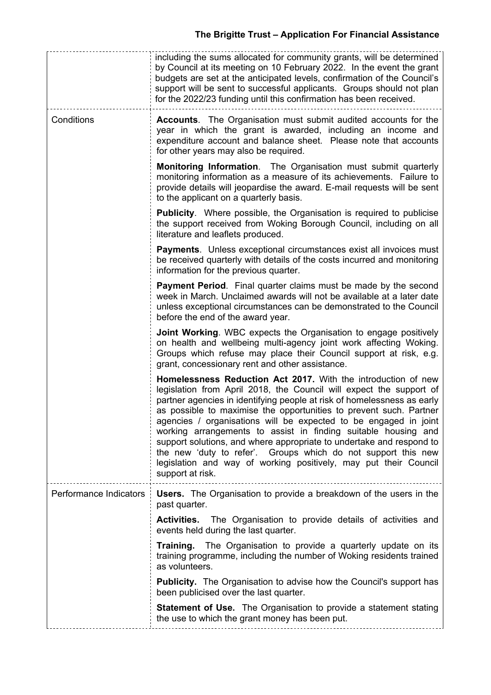|                        | including the sums allocated for community grants, will be determined<br>by Council at its meeting on 10 February 2022. In the event the grant<br>budgets are set at the anticipated levels, confirmation of the Council's<br>support will be sent to successful applicants. Groups should not plan<br>for the 2022/23 funding until this confirmation has been received.                                                                                                                                                                                                                                                                                    |
|------------------------|--------------------------------------------------------------------------------------------------------------------------------------------------------------------------------------------------------------------------------------------------------------------------------------------------------------------------------------------------------------------------------------------------------------------------------------------------------------------------------------------------------------------------------------------------------------------------------------------------------------------------------------------------------------|
| Conditions             | <b>Accounts.</b> The Organisation must submit audited accounts for the<br>year in which the grant is awarded, including an income and<br>expenditure account and balance sheet. Please note that accounts<br>for other years may also be required.                                                                                                                                                                                                                                                                                                                                                                                                           |
|                        | <b>Monitoring Information.</b> The Organisation must submit quarterly<br>monitoring information as a measure of its achievements. Failure to<br>provide details will jeopardise the award. E-mail requests will be sent<br>to the applicant on a quarterly basis.                                                                                                                                                                                                                                                                                                                                                                                            |
|                        | <b>Publicity.</b> Where possible, the Organisation is required to publicise<br>the support received from Woking Borough Council, including on all<br>literature and leaflets produced.                                                                                                                                                                                                                                                                                                                                                                                                                                                                       |
|                        | <b>Payments.</b> Unless exceptional circumstances exist all invoices must<br>be received quarterly with details of the costs incurred and monitoring<br>information for the previous quarter.                                                                                                                                                                                                                                                                                                                                                                                                                                                                |
|                        | Payment Period. Final quarter claims must be made by the second<br>week in March. Unclaimed awards will not be available at a later date<br>unless exceptional circumstances can be demonstrated to the Council<br>before the end of the award year.                                                                                                                                                                                                                                                                                                                                                                                                         |
|                        | Joint Working. WBC expects the Organisation to engage positively<br>on health and wellbeing multi-agency joint work affecting Woking.<br>Groups which refuse may place their Council support at risk, e.g.<br>grant, concessionary rent and other assistance.                                                                                                                                                                                                                                                                                                                                                                                                |
|                        | Homelessness Reduction Act 2017. With the introduction of new<br>legislation from April 2018, the Council will expect the support of<br>partner agencies in identifying people at risk of homelessness as early<br>as possible to maximise the opportunities to prevent such. Partner<br>agencies / organisations will be expected to be engaged in joint<br>working arrangements to assist in finding suitable housing and<br>support solutions, and where appropriate to undertake and respond to<br>the new 'duty to refer'. Groups which do not support this new<br>legislation and way of working positively, may put their Council<br>support at risk. |
| Performance Indicators | <b>Users.</b> The Organisation to provide a breakdown of the users in the<br>past quarter.                                                                                                                                                                                                                                                                                                                                                                                                                                                                                                                                                                   |
|                        | <b>Activities.</b> The Organisation to provide details of activities and<br>events held during the last quarter.                                                                                                                                                                                                                                                                                                                                                                                                                                                                                                                                             |
|                        | The Organisation to provide a quarterly update on its<br>Training.<br>training programme, including the number of Woking residents trained<br>as volunteers.                                                                                                                                                                                                                                                                                                                                                                                                                                                                                                 |
|                        | <b>Publicity.</b> The Organisation to advise how the Council's support has<br>been publicised over the last quarter.                                                                                                                                                                                                                                                                                                                                                                                                                                                                                                                                         |
|                        | <b>Statement of Use.</b> The Organisation to provide a statement stating<br>the use to which the grant money has been put.                                                                                                                                                                                                                                                                                                                                                                                                                                                                                                                                   |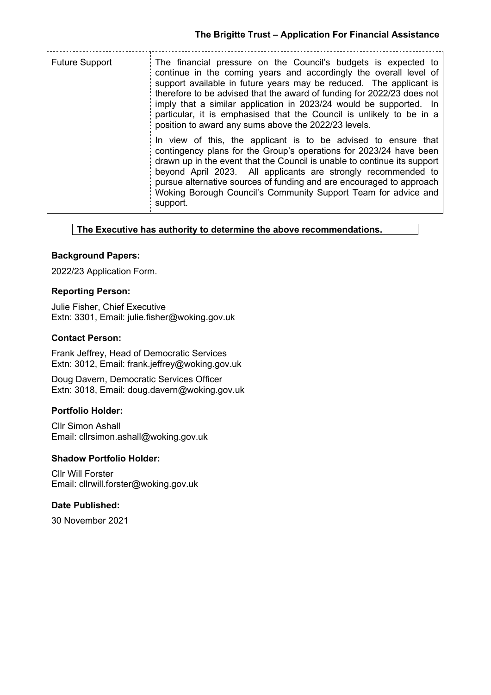<u>. . . . . . . . . . . . . . .</u>

| <b>Future Support</b> | The financial pressure on the Council's budgets is expected to<br>continue in the coming years and accordingly the overall level of<br>support available in future years may be reduced. The applicant is<br>therefore to be advised that the award of funding for 2022/23 does not<br>imply that a similar application in 2023/24 would be supported. In<br>particular, it is emphasised that the Council is unlikely to be in a<br>position to award any sums above the 2022/23 levels. |
|-----------------------|-------------------------------------------------------------------------------------------------------------------------------------------------------------------------------------------------------------------------------------------------------------------------------------------------------------------------------------------------------------------------------------------------------------------------------------------------------------------------------------------|
|                       | In view of this, the applicant is to be advised to ensure that<br>contingency plans for the Group's operations for 2023/24 have been<br>drawn up in the event that the Council is unable to continue its support<br>beyond April 2023. All applicants are strongly recommended to<br>pursue alternative sources of funding and are encouraged to approach<br>Woking Borough Council's Community Support Team for advice and<br>support.                                                   |

#### **The Executive has authority to determine the above recommendations.**

#### **Background Papers:**

2022/23 Application Form.

#### **Reporting Person:**

Julie Fisher, Chief Executive Extn: 3301, Email: julie.fisher@woking.gov.uk

### **Contact Person:**

Frank Jeffrey, Head of Democratic Services Extn: 3012, Email: frank.jeffrey@woking.gov.uk

Doug Davern, Democratic Services Officer Extn: 3018, Email: doug.davern@woking.gov.uk

# **Portfolio Holder:**

Cllr Simon Ashall Email: cllrsimon.ashall@woking.gov.uk

### **Shadow Portfolio Holder:**

Cllr Will Forster Email: cllrwill.forster@woking.gov.uk

# **Date Published:**

30 November 2021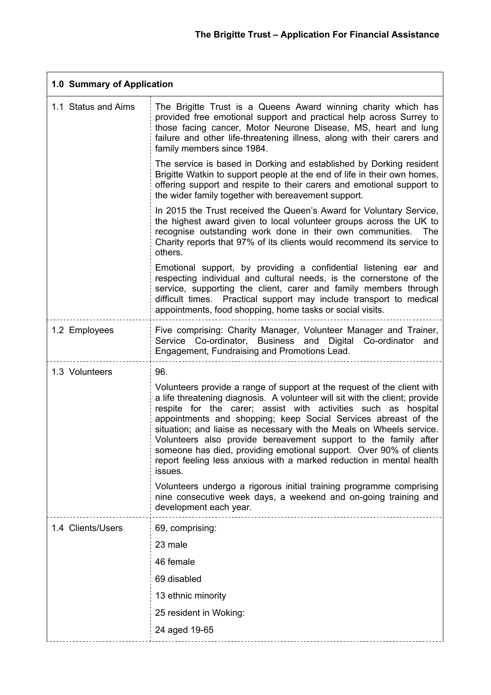$\overline{\phantom{0}}$ 

|                     | 1.0 Summary of Application                                                                                                                                                                                                                                                                                                                                                                                                                                                                                                                                                                     |  |  |
|---------------------|------------------------------------------------------------------------------------------------------------------------------------------------------------------------------------------------------------------------------------------------------------------------------------------------------------------------------------------------------------------------------------------------------------------------------------------------------------------------------------------------------------------------------------------------------------------------------------------------|--|--|
| 1.1 Status and Aims | The Brigitte Trust is a Queens Award winning charity which has<br>provided free emotional support and practical help across Surrey to<br>those facing cancer, Motor Neurone Disease, MS, heart and lung<br>failure and other life-threatening illness, along with their carers and<br>family members since 1984.                                                                                                                                                                                                                                                                               |  |  |
|                     | The service is based in Dorking and established by Dorking resident<br>Brigitte Watkin to support people at the end of life in their own homes,<br>offering support and respite to their carers and emotional support to<br>the wider family together with bereavement support.                                                                                                                                                                                                                                                                                                                |  |  |
|                     | In 2015 the Trust received the Queen's Award for Voluntary Service,<br>the highest award given to local volunteer groups across the UK to<br>recognise outstanding work done in their own communities.<br>The<br>Charity reports that 97% of its clients would recommend its service to<br>others.                                                                                                                                                                                                                                                                                             |  |  |
|                     | Emotional support, by providing a confidential listening ear and<br>respecting individual and cultural needs, is the cornerstone of the<br>service, supporting the client, carer and family members through<br>difficult times. Practical support may include transport to medical<br>appointments, food shopping, home tasks or social visits.                                                                                                                                                                                                                                                |  |  |
| 1.2 Employees       | Five comprising: Charity Manager, Volunteer Manager and Trainer,<br>Service Co-ordinator, Business and Digital Co-ordinator and<br>Engagement, Fundraising and Promotions Lead.                                                                                                                                                                                                                                                                                                                                                                                                                |  |  |
| 1.3 Volunteers      | 96.                                                                                                                                                                                                                                                                                                                                                                                                                                                                                                                                                                                            |  |  |
|                     | Volunteers provide a range of support at the request of the client with<br>a life threatening diagnosis. A volunteer will sit with the client; provide<br>respite for the carer; assist with activities such as hospital<br>appointments and shopping; keep Social Services abreast of the<br>situation; and liaise as necessary with the Meals on Wheels service.<br>Volunteers also provide bereavement support to the family after<br>someone has died, providing emotional support. Over 90% of clients<br>report feeling less anxious with a marked reduction in mental health<br>issues. |  |  |
|                     | Volunteers undergo a rigorous initial training programme comprising<br>nine consecutive week days, a weekend and on-going training and<br>development each year.                                                                                                                                                                                                                                                                                                                                                                                                                               |  |  |
| 1.4 Clients/Users   | 69, comprising:                                                                                                                                                                                                                                                                                                                                                                                                                                                                                                                                                                                |  |  |
|                     | 23 male                                                                                                                                                                                                                                                                                                                                                                                                                                                                                                                                                                                        |  |  |
|                     | 46 female                                                                                                                                                                                                                                                                                                                                                                                                                                                                                                                                                                                      |  |  |
|                     | 69 disabled                                                                                                                                                                                                                                                                                                                                                                                                                                                                                                                                                                                    |  |  |
|                     | 13 ethnic minority                                                                                                                                                                                                                                                                                                                                                                                                                                                                                                                                                                             |  |  |
|                     | 25 resident in Woking:                                                                                                                                                                                                                                                                                                                                                                                                                                                                                                                                                                         |  |  |
|                     | 24 aged 19-65                                                                                                                                                                                                                                                                                                                                                                                                                                                                                                                                                                                  |  |  |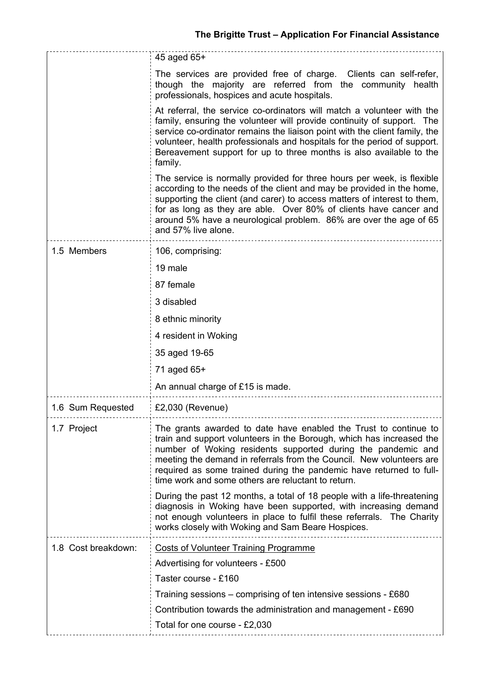|                     | 45 aged 65+                                                                                                                                                                                                                                                                                                                                                                                                   |  |  |
|---------------------|---------------------------------------------------------------------------------------------------------------------------------------------------------------------------------------------------------------------------------------------------------------------------------------------------------------------------------------------------------------------------------------------------------------|--|--|
|                     | The services are provided free of charge. Clients can self-refer,<br>though the majority are referred from the community health<br>professionals, hospices and acute hospitals.                                                                                                                                                                                                                               |  |  |
|                     | At referral, the service co-ordinators will match a volunteer with the<br>family, ensuring the volunteer will provide continuity of support. The<br>service co-ordinator remains the liaison point with the client family, the<br>volunteer, health professionals and hospitals for the period of support.<br>Bereavement support for up to three months is also available to the<br>family.                  |  |  |
|                     | The service is normally provided for three hours per week, is flexible<br>according to the needs of the client and may be provided in the home,<br>supporting the client (and carer) to access matters of interest to them,<br>for as long as they are able. Over 80% of clients have cancer and<br>around 5% have a neurological problem. 86% are over the age of 65<br>and 57% live alone.                  |  |  |
| 1.5 Members         | 106, comprising:                                                                                                                                                                                                                                                                                                                                                                                              |  |  |
|                     | 19 male                                                                                                                                                                                                                                                                                                                                                                                                       |  |  |
|                     | 87 female                                                                                                                                                                                                                                                                                                                                                                                                     |  |  |
|                     | 3 disabled                                                                                                                                                                                                                                                                                                                                                                                                    |  |  |
|                     | 8 ethnic minority                                                                                                                                                                                                                                                                                                                                                                                             |  |  |
|                     | 4 resident in Woking                                                                                                                                                                                                                                                                                                                                                                                          |  |  |
|                     | 35 aged 19-65                                                                                                                                                                                                                                                                                                                                                                                                 |  |  |
|                     | 71 aged 65+                                                                                                                                                                                                                                                                                                                                                                                                   |  |  |
|                     | An annual charge of £15 is made.                                                                                                                                                                                                                                                                                                                                                                              |  |  |
| 1.6 Sum Requested   | $£2,030$ (Revenue)                                                                                                                                                                                                                                                                                                                                                                                            |  |  |
| 1.7 Project         | The grants awarded to date have enabled the Trust to continue to<br>train and support volunteers in the Borough, which has increased the<br>number of Woking residents supported during the pandemic and<br>meeting the demand in referrals from the Council. New volunteers are<br>required as some trained during the pandemic have returned to full-<br>time work and some others are reluctant to return. |  |  |
|                     | During the past 12 months, a total of 18 people with a life-threatening<br>diagnosis in Woking have been supported, with increasing demand<br>not enough volunteers in place to fulfil these referrals. The Charity<br>works closely with Woking and Sam Beare Hospices.                                                                                                                                      |  |  |
| 1.8 Cost breakdown: | <b>Costs of Volunteer Training Programme</b>                                                                                                                                                                                                                                                                                                                                                                  |  |  |
|                     | Advertising for volunteers - £500                                                                                                                                                                                                                                                                                                                                                                             |  |  |
|                     | Taster course - £160                                                                                                                                                                                                                                                                                                                                                                                          |  |  |
|                     | Training sessions – comprising of ten intensive sessions - £680                                                                                                                                                                                                                                                                                                                                               |  |  |
|                     | Contribution towards the administration and management - £690                                                                                                                                                                                                                                                                                                                                                 |  |  |
|                     | Total for one course - £2,030                                                                                                                                                                                                                                                                                                                                                                                 |  |  |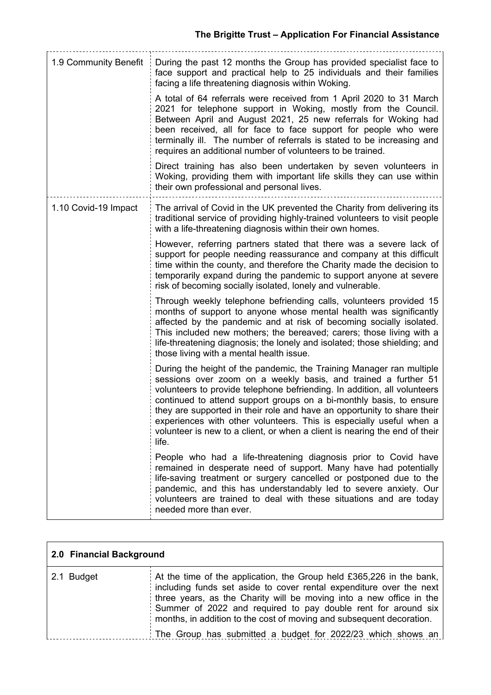| 1.9 Community Benefit | During the past 12 months the Group has provided specialist face to<br>face support and practical help to 25 individuals and their families<br>facing a life threatening diagnosis within Woking.                                                                                                                                                                                                                                                                                                                                  |  |
|-----------------------|------------------------------------------------------------------------------------------------------------------------------------------------------------------------------------------------------------------------------------------------------------------------------------------------------------------------------------------------------------------------------------------------------------------------------------------------------------------------------------------------------------------------------------|--|
|                       | A total of 64 referrals were received from 1 April 2020 to 31 March<br>2021 for telephone support in Woking, mostly from the Council.<br>Between April and August 2021, 25 new referrals for Woking had<br>been received, all for face to face support for people who were<br>terminally ill. The number of referrals is stated to be increasing and<br>requires an additional number of volunteers to be trained.                                                                                                                 |  |
|                       | Direct training has also been undertaken by seven volunteers in<br>Woking, providing them with important life skills they can use within<br>their own professional and personal lives.                                                                                                                                                                                                                                                                                                                                             |  |
| 1.10 Covid-19 Impact  | The arrival of Covid in the UK prevented the Charity from delivering its<br>traditional service of providing highly-trained volunteers to visit people<br>with a life-threatening diagnosis within their own homes.                                                                                                                                                                                                                                                                                                                |  |
|                       | However, referring partners stated that there was a severe lack of<br>support for people needing reassurance and company at this difficult<br>time within the county, and therefore the Charity made the decision to<br>temporarily expand during the pandemic to support anyone at severe<br>risk of becoming socially isolated, lonely and vulnerable.                                                                                                                                                                           |  |
|                       | Through weekly telephone befriending calls, volunteers provided 15<br>months of support to anyone whose mental health was significantly<br>affected by the pandemic and at risk of becoming socially isolated.<br>This included new mothers; the bereaved; carers; those living with a<br>life-threatening diagnosis; the lonely and isolated; those shielding; and<br>those living with a mental health issue.                                                                                                                    |  |
|                       | During the height of the pandemic, the Training Manager ran multiple<br>sessions over zoom on a weekly basis, and trained a further 51<br>volunteers to provide telephone befriending. In addition, all volunteers<br>continued to attend support groups on a bi-monthly basis, to ensure<br>they are supported in their role and have an opportunity to share their<br>experiences with other volunteers. This is especially useful when a<br>volunteer is new to a client, or when a client is nearing the end of their<br>life. |  |
|                       | People who had a life-threatening diagnosis prior to Covid have<br>remained in desperate need of support. Many have had potentially<br>life-saving treatment or surgery cancelled or postponed due to the<br>pandemic, and this has understandably led to severe anxiety. Our<br>volunteers are trained to deal with these situations and are today<br>needed more than ever.                                                                                                                                                      |  |

| 2.0 Financial Background |                                                                                                                                                                                                                                                                                                                                                                                                                              |
|--------------------------|------------------------------------------------------------------------------------------------------------------------------------------------------------------------------------------------------------------------------------------------------------------------------------------------------------------------------------------------------------------------------------------------------------------------------|
| 2.1 Budget               | At the time of the application, the Group held $£365,226$ in the bank,<br>including funds set aside to cover rental expenditure over the next<br>three years, as the Charity will be moving into a new office in the<br>Summer of 2022 and required to pay double rent for around six<br>months, in addition to the cost of moving and subsequent decoration.<br>The Group has submitted a budget for 2022/23 which shows an |